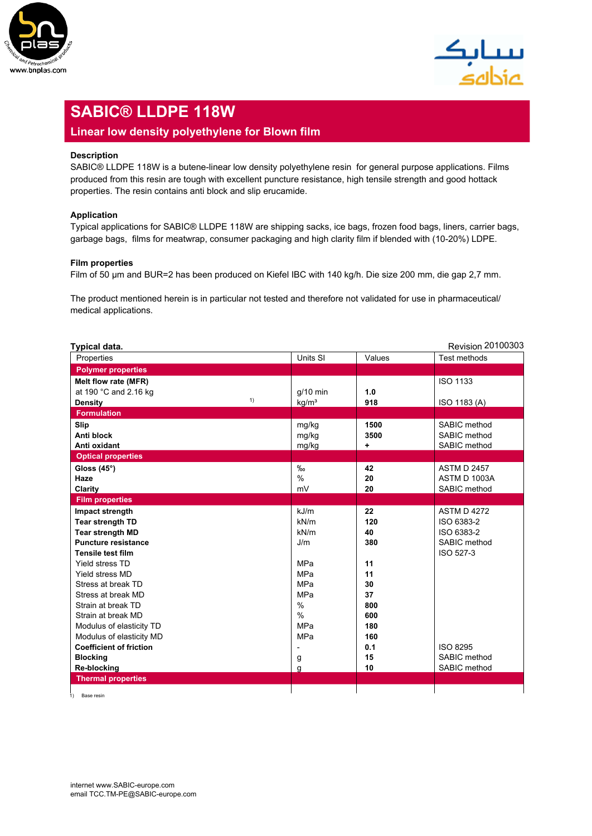



# **SABIC® LLDPE 118W**

### **Linear low density polyethylene for Blown film**

#### **Description**

SABIC<sup>®</sup> LLDPE 118W is a butene-linear low density polyethylene resin for general purpose applications. Films produced from this resin are tough with excellent puncture resistance, high tensile strength and good hottack properties. The resin contains anti block and slip erucamide.

#### **Application**

Typical applications for SABIC® LLDPE 118W are shipping sacks, ice bags, frozen food bags, liners, carrier bags, garbage bags, films for meatwrap, consumer packaging and high clarity film if blended with (10-20%) LDPE.

#### **Film properties**

| garbage bags, films for meatwrap, consumer packaging and high clarity film if blended with (10-20%) LDPE.                                |                          |           |                                  |  |
|------------------------------------------------------------------------------------------------------------------------------------------|--------------------------|-----------|----------------------------------|--|
| <b>Film properties</b><br>Film of 50 µm and BUR=2 has been produced on Kiefel IBC with 140 kg/h. Die size 200 mm, die gap 2,7 mm.        |                          |           |                                  |  |
| The product mentioned herein is in particular not tested and therefore not validated for use in pharmaceutical/<br>medical applications. |                          |           |                                  |  |
| Typical data.                                                                                                                            |                          |           | <b>Revision 20100303</b>         |  |
| Properties                                                                                                                               | Units SI                 | Values    | Test methods                     |  |
| <b>Polymer properties</b>                                                                                                                |                          |           |                                  |  |
| Melt flow rate (MFR)                                                                                                                     |                          |           | <b>ISO 1133</b>                  |  |
| at 190 °C and 2.16 kg                                                                                                                    | $g/10$ min               | 1.0       |                                  |  |
| 1)<br><b>Density</b>                                                                                                                     | kg/m <sup>3</sup>        | 918       | ISO 1183 (A)                     |  |
| <b>Formulation</b>                                                                                                                       |                          |           |                                  |  |
| Slip                                                                                                                                     | mg/kg                    | 1500      | SABIC method                     |  |
| Anti block                                                                                                                               | mg/kg                    | 3500      | SABIC method                     |  |
| Anti oxidant                                                                                                                             | mg/kg                    | ٠.        | SABIC method                     |  |
| <b>Optical properties</b>                                                                                                                |                          |           |                                  |  |
| Gloss $(45^\circ)$                                                                                                                       | $\%$ o                   | 42        | <b>ASTM D 2457</b>               |  |
| Haze                                                                                                                                     | $\%$                     | 20        | ASTM D 1003A                     |  |
| Clarity                                                                                                                                  | mV                       | 20        | SABIC method                     |  |
| <b>Film properties</b>                                                                                                                   |                          |           |                                  |  |
| Impact strength                                                                                                                          | kJ/m<br>kN/m             | 22<br>120 | <b>ASTM D 4272</b><br>ISO 6383-2 |  |
| Tear strength TD<br><b>Tear strength MD</b>                                                                                              | kN/m                     | 40        | ISO 6383-2                       |  |
| <b>Puncture resistance</b>                                                                                                               | J/m                      | 380       | SABIC method                     |  |
| <b>Tensile test film</b>                                                                                                                 |                          |           | ISO 527-3                        |  |
| Yield stress TD                                                                                                                          | MPa                      | 11        |                                  |  |
| Yield stress MD                                                                                                                          | MPa                      | 11        |                                  |  |
| Stress at break TD                                                                                                                       | MPa                      | 30        |                                  |  |
| Stress at break MD                                                                                                                       | MPa                      | 37        |                                  |  |
| Strain at break TD                                                                                                                       | $\%$                     | 800       |                                  |  |
| Strain at break MD                                                                                                                       | $\%$                     | 600       |                                  |  |
| Modulus of elasticity TD                                                                                                                 | MPa                      | 180       |                                  |  |
| Modulus of elasticity MD                                                                                                                 | MPa                      | 160       |                                  |  |
| <b>Coefficient of friction</b>                                                                                                           | $\overline{\phantom{a}}$ | 0.1       | <b>ISO 8295</b>                  |  |
| <b>Blocking</b>                                                                                                                          | g                        | 15        | SABIC method                     |  |
| <b>Re-blocking</b>                                                                                                                       | g                        | 10        | SABIC method                     |  |
| <b>Thermal properties</b>                                                                                                                |                          |           |                                  |  |
|                                                                                                                                          |                          |           |                                  |  |

1) Base resin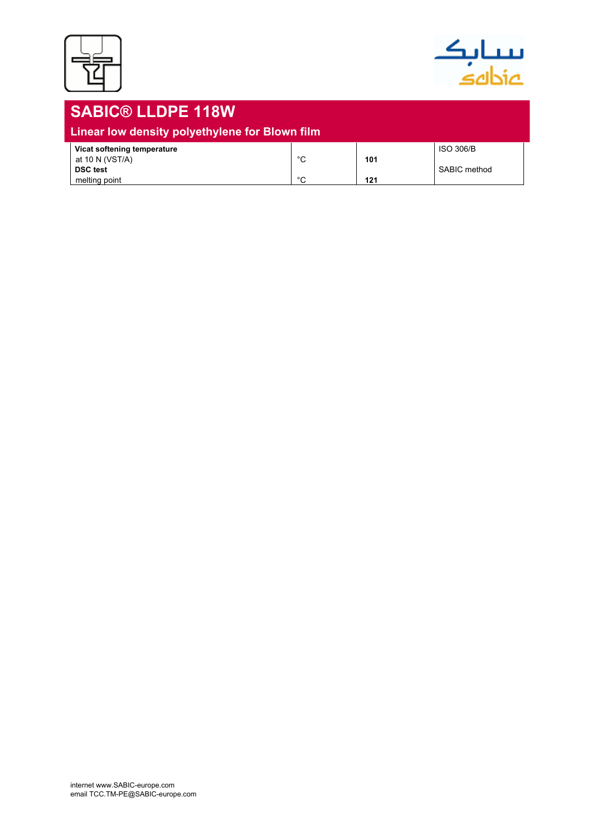



## **SABIC® LLDPE 118W Linear low density polyethylene for Blown film Vicat softening temperature** at 10 N (VST/A) at 10 N (VST/A) at 10 N (VST/A) at 10 N (VST/A) at 10 N (VST/A) at 10 N (VST/A) at 10 N (VST/A) at 10 N (VST/A) at 10 N (VST/A) at 10 N (VST/A) at 10 N (VST/A) at 10 N (VST/A) at 10 N (VST/A) **101**<br> **DSC test** 101 **PC** 121 SABIC method **c 121 121**